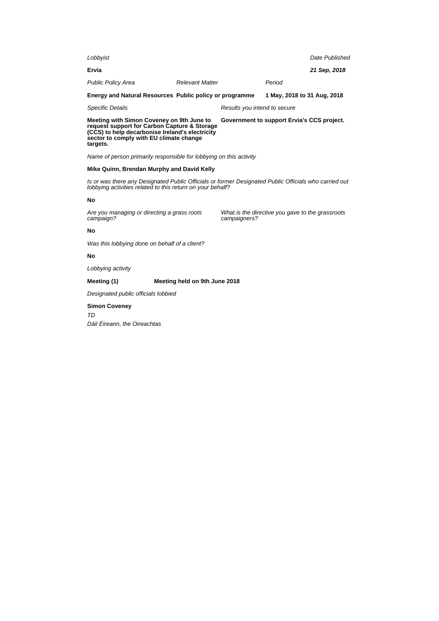| Lobbyist                                                                                                                                                                                            |                               |                                            |                                                  | Date Published |
|-----------------------------------------------------------------------------------------------------------------------------------------------------------------------------------------------------|-------------------------------|--------------------------------------------|--------------------------------------------------|----------------|
| Ervia                                                                                                                                                                                               |                               |                                            |                                                  | 21 Sep, 2018   |
| <b>Public Policy Area</b>                                                                                                                                                                           | <b>Relevant Matter</b>        |                                            | Period                                           |                |
| Energy and Natural Resources Public policy or programme                                                                                                                                             |                               |                                            | 1 May, 2018 to 31 Aug, 2018                      |                |
| <b>Specific Details</b>                                                                                                                                                                             |                               | Results you intend to secure               |                                                  |                |
| Meeting with Simon Coveney on 9th June to<br>request support for Carbon Capture & Storage<br>(CCS) to help decarbonise Ireland's electricity<br>sector to comply with EU climate change<br>targets. |                               | Government to support Ervia's CCS project. |                                                  |                |
| Name of person primarily responsible for lobbying on this activity                                                                                                                                  |                               |                                            |                                                  |                |
| Mike Quinn, Brendan Murphy and David Kelly                                                                                                                                                          |                               |                                            |                                                  |                |
| Is or was there any Designated Public Officials or former Designated Public Officials who carried out<br>lobbying activities related to this return on your behalf?                                 |                               |                                            |                                                  |                |
| No                                                                                                                                                                                                  |                               |                                            |                                                  |                |
| Are you managing or directing a grass roots<br>campaign?                                                                                                                                            |                               | campaigners?                               | What is the directive you gave to the grassroots |                |
| No                                                                                                                                                                                                  |                               |                                            |                                                  |                |
| Was this lobbying done on behalf of a client?                                                                                                                                                       |                               |                                            |                                                  |                |
| No                                                                                                                                                                                                  |                               |                                            |                                                  |                |
| Lobbying activity                                                                                                                                                                                   |                               |                                            |                                                  |                |
| Meeting (1)                                                                                                                                                                                         | Meeting held on 9th June 2018 |                                            |                                                  |                |
| Designated public officials lobbied                                                                                                                                                                 |                               |                                            |                                                  |                |
| <b>Simon Coveney</b><br>TD<br>Dáil Éireann, the Oireachtas                                                                                                                                          |                               |                                            |                                                  |                |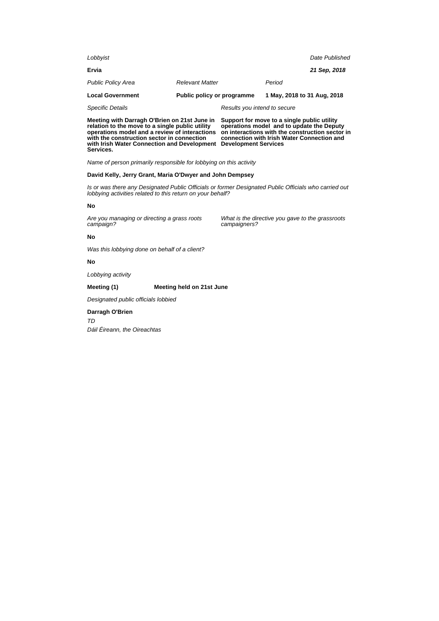| Lobbyist                  |                              | Date Published              |  |  |
|---------------------------|------------------------------|-----------------------------|--|--|
| Ervia                     |                              | 21 Sep. 2018                |  |  |
| <b>Public Policy Area</b> | <b>Relevant Matter</b>       | Period                      |  |  |
| <b>Local Government</b>   | Public policy or programme   | 1 May, 2018 to 31 Aug, 2018 |  |  |
| <b>Specific Details</b>   | Results you intend to secure |                             |  |  |
|                           |                              |                             |  |  |

**Meeting with Darragh O'Brien on 21st June in relation to the move to a single public utility operations model and a review of interactions with the construction sector in connection with Irish Water Connection and Development Development Services Services.**

**Support for move to a single public utility operations model and to update the Deputy on interactions with the construction sector in connection with Irish Water Connection and**

Name of person primarily responsible for lobbying on this activity

## **David Kelly, Jerry Grant, Maria O'Dwyer and John Dempsey**

Is or was there any Designated Public Officials or former Designated Public Officials who carried out lobbying activities related to this return on your behalf?

## **No**

Are you managing or directing a grass roots campaign?

What is the directive you gave to the grassroots campaigners?

## **No**

Was this lobbying done on behalf of a client?

## **No**

Lobbying activity

## **Meeting (1) Meeting held on 21st June**

Designated public officials lobbied

## **Darragh O'Brien**

TD

Dáil Éireann, the Oireachtas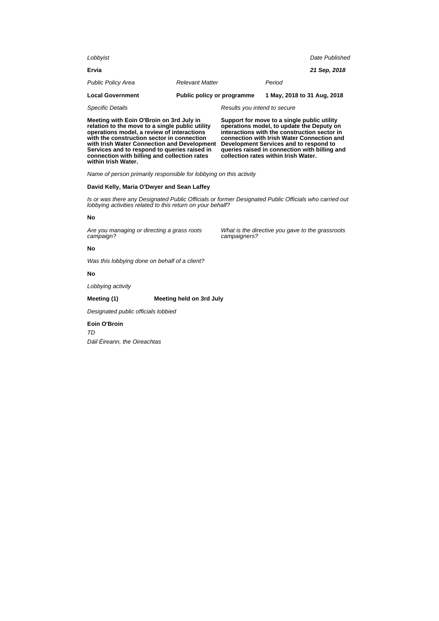| Meeting with Eoin O'Broin on 3rd July in |                            | Support for move to a single public utility |                             |                |
|------------------------------------------|----------------------------|---------------------------------------------|-----------------------------|----------------|
| <b>Specific Details</b>                  |                            | Results you intend to secure                |                             |                |
| <b>Local Government</b>                  | Public policy or programme |                                             | 1 May, 2018 to 31 Aug, 2018 |                |
| <b>Public Policy Area</b>                | <b>Relevant Matter</b>     |                                             | Period                      |                |
| Ervia                                    |                            |                                             |                             | 21 Sep, 2018   |
| Lobbyist                                 |                            |                                             |                             | Date Published |
|                                          |                            |                                             |                             |                |

**relation to the move to a single public utility operations model, a review of interactions with the construction sector in connection with Irish Water Connection and Development Services and to respond to queries raised in connection with billing and collection rates within Irish Water.**

**operations model, to update the Deputy on interactions with the construction sector in connection with Irish Water Connection and Development Services and to respond to queries raised in connection with billing and collection rates within Irish Water.**

What is the directive you gave to the grassroots

Name of person primarily responsible for lobbying on this activity

### **David Kelly, Maria O'Dwyer and Sean Laffey**

Is or was there any Designated Public Officials or former Designated Public Officials who carried out lobbying activities related to this return on your behalf?

campaigners?

#### **No**

Are you managing or directing a grass roots campaign?

### **No**

Was this lobbying done on behalf of a client?

## **No**

Lobbying activity

## **Meeting (1) Meeting held on 3rd July**

Designated public officials lobbied

#### **Eoin O'Broin**

TD

Dáil Éireann, the Oireachtas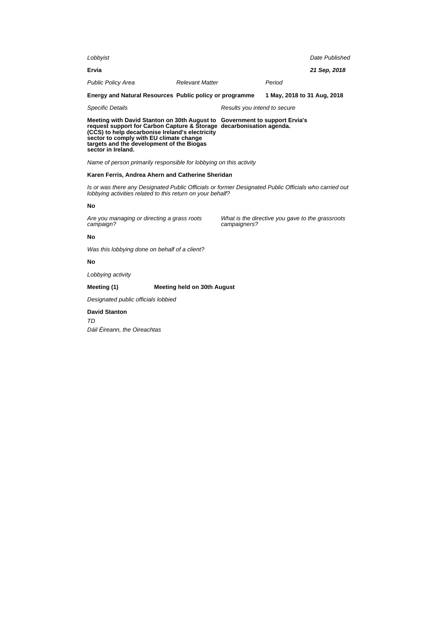| Lobbyist                                                                                                                                                                                              |                        |                              |                             | Date Published |
|-------------------------------------------------------------------------------------------------------------------------------------------------------------------------------------------------------|------------------------|------------------------------|-----------------------------|----------------|
| Ervia                                                                                                                                                                                                 |                        |                              |                             | 21 Sep, 2018   |
| <b>Public Policy Area</b>                                                                                                                                                                             | <b>Relevant Matter</b> |                              | Period                      |                |
| Energy and Natural Resources Public policy or programme                                                                                                                                               |                        |                              | 1 May, 2018 to 31 Aug, 2018 |                |
| Specific Details                                                                                                                                                                                      |                        | Results you intend to secure |                             |                |
| Meeting with David Stanton on 30th August to Government to support Ervia's<br>request support for Carbon Capture & Storage decarbonisation agenda.<br>(CCS) to help decarbonise Ireland's electricity |                        |                              |                             |                |

Name of person primarily responsible for lobbying on this activity

## **Karen Ferris, Andrea Ahern and Catherine Sheridan**

Is or was there any Designated Public Officials or former Designated Public Officials who carried out lobbying activities related to this return on your behalf?

## **No**

Are you managing or directing a grass roots campaign?

**sector to comply with EU climate change targets and the development of the Biogas**

> What is the directive you gave to the grassroots campaigners?

## **No**

Was this lobbying done on behalf of a client?

## **No**

Lobbying activity

**sector in Ireland.**

## **Meeting (1) Meeting held on 30th August**

Designated public officials lobbied

## **David Stanton**

TD

Dáil Éireann, the Oireachtas